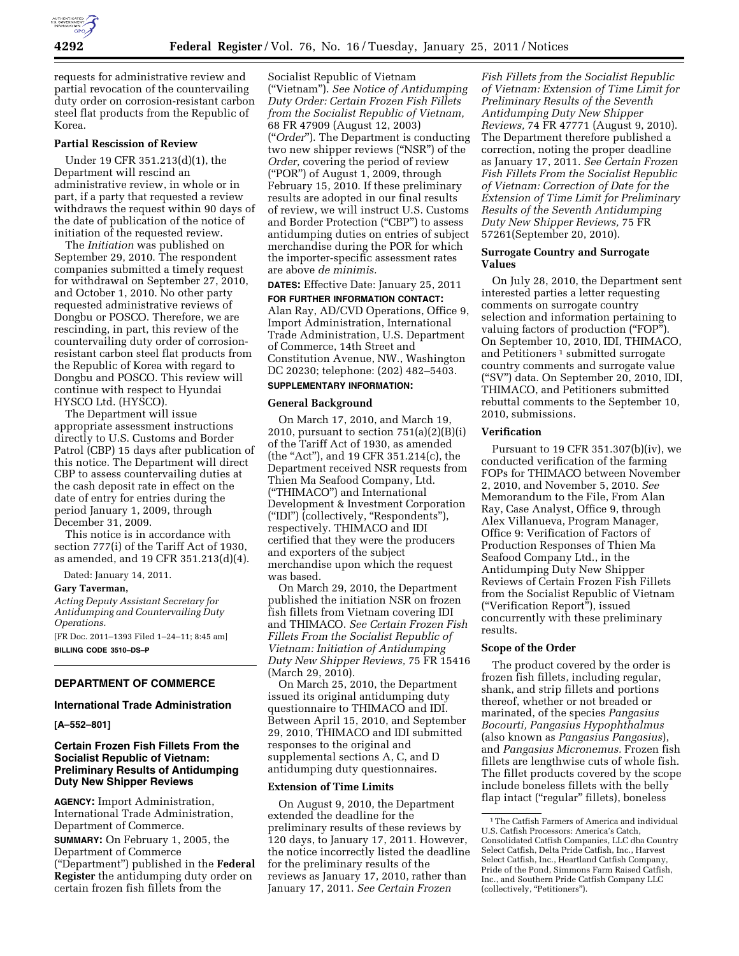

requests for administrative review and partial revocation of the countervailing duty order on corrosion-resistant carbon steel flat products from the Republic of Korea.

## **Partial Rescission of Review**

Under 19 CFR 351.213(d)(1), the Department will rescind an administrative review, in whole or in part, if a party that requested a review withdraws the request within 90 days of the date of publication of the notice of initiation of the requested review.

The *Initiation* was published on September 29, 2010. The respondent companies submitted a timely request for withdrawal on September 27, 2010, and October 1, 2010. No other party requested administrative reviews of Dongbu or POSCO. Therefore, we are rescinding, in part, this review of the countervailing duty order of corrosionresistant carbon steel flat products from the Republic of Korea with regard to Dongbu and POSCO. This review will continue with respect to Hyundai HYSCO Ltd. (HYSCO).

The Department will issue appropriate assessment instructions directly to U.S. Customs and Border Patrol (CBP) 15 days after publication of this notice. The Department will direct CBP to assess countervailing duties at the cash deposit rate in effect on the date of entry for entries during the period January 1, 2009, through December 31, 2009.

This notice is in accordance with section 777(i) of the Tariff Act of 1930, as amended, and 19 CFR 351.213(d)(4).

Dated: January 14, 2011.

#### **Gary Taverman,**

*Acting Deputy Assistant Secretary for Antidumping and Countervailing Duty Operations.* 

[FR Doc. 2011–1393 Filed 1–24–11; 8:45 am] **BILLING CODE 3510–DS–P** 

## **DEPARTMENT OF COMMERCE**

#### **International Trade Administration**

**[A–552–801]** 

## **Certain Frozen Fish Fillets From the Socialist Republic of Vietnam: Preliminary Results of Antidumping Duty New Shipper Reviews**

**AGENCY:** Import Administration, International Trade Administration, Department of Commerce.

**SUMMARY:** On February 1, 2005, the Department of Commerce (''Department'') published in the **Federal Register** the antidumping duty order on certain frozen fish fillets from the

Socialist Republic of Vietnam (''Vietnam''). *See Notice of Antidumping Duty Order: Certain Frozen Fish Fillets from the Socialist Republic of Vietnam,*  68 FR 47909 (August 12, 2003) (''*Order*''). The Department is conducting two new shipper reviews (''NSR'') of the *Order,* covering the period of review (''POR'') of August 1, 2009, through February 15, 2010. If these preliminary results are adopted in our final results of review, we will instruct U.S. Customs and Border Protection ("CBP") to assess antidumping duties on entries of subject merchandise during the POR for which the importer-specific assessment rates are above *de minimis.* 

**DATES:** Effective Date: January 25, 2011

**FOR FURTHER INFORMATION CONTACT:**  Alan Ray, AD/CVD Operations, Office 9, Import Administration, International Trade Administration, U.S. Department of Commerce, 14th Street and Constitution Avenue, NW., Washington DC 20230; telephone: (202) 482–5403. **SUPPLEMENTARY INFORMATION:** 

# **General Background**

On March 17, 2010, and March 19, 2010, pursuant to section  $751(a)(2)(B)(i)$ of the Tariff Act of 1930, as amended (the "Act"), and 19 CFR 351.214(c), the Department received NSR requests from Thien Ma Seafood Company, Ltd. (''THIMACO'') and International Development & Investment Corporation (''IDI'') (collectively, ''Respondents''), respectively. THIMACO and IDI certified that they were the producers and exporters of the subject merchandise upon which the request was based.

On March 29, 2010, the Department published the initiation NSR on frozen fish fillets from Vietnam covering IDI and THIMACO. *See Certain Frozen Fish Fillets From the Socialist Republic of Vietnam: Initiation of Antidumping Duty New Shipper Reviews,* 75 FR 15416 (March 29, 2010).

On March 25, 2010, the Department issued its original antidumping duty questionnaire to THIMACO and IDI. Between April 15, 2010, and September 29, 2010, THIMACO and IDI submitted responses to the original and supplemental sections A, C, and D antidumping duty questionnaires.

## **Extension of Time Limits**

On August 9, 2010, the Department extended the deadline for the preliminary results of these reviews by 120 days, to January 17, 2011. However, the notice incorrectly listed the deadline for the preliminary results of the reviews as January 17, 2010, rather than January 17, 2011. *See Certain Frozen* 

*Fish Fillets from the Socialist Republic of Vietnam: Extension of Time Limit for Preliminary Results of the Seventh Antidumping Duty New Shipper Reviews,* 74 FR 47771 (August 9, 2010). The Department therefore published a correction, noting the proper deadline as January 17, 2011. *See Certain Frozen Fish Fillets From the Socialist Republic of Vietnam: Correction of Date for the Extension of Time Limit for Preliminary Results of the Seventh Antidumping Duty New Shipper Reviews,* 75 FR 57261(September 20, 2010).

#### **Surrogate Country and Surrogate Values**

On July 28, 2010, the Department sent interested parties a letter requesting comments on surrogate country selection and information pertaining to valuing factors of production ("FOP"). On September 10, 2010, IDI, THIMACO, and Petitioners<sup>1</sup> submitted surrogate country comments and surrogate value (''SV'') data. On September 20, 2010, IDI, THIMACO, and Petitioners submitted rebuttal comments to the September 10, 2010, submissions.

#### **Verification**

Pursuant to 19 CFR 351.307(b)(iv), we conducted verification of the farming FOPs for THIMACO between November 2, 2010, and November 5, 2010. *See*  Memorandum to the File, From Alan Ray, Case Analyst, Office 9, through Alex Villanueva, Program Manager, Office 9: Verification of Factors of Production Responses of Thien Ma Seafood Company Ltd., in the Antidumping Duty New Shipper Reviews of Certain Frozen Fish Fillets from the Socialist Republic of Vietnam (''Verification Report''), issued concurrently with these preliminary results.

## **Scope of the Order**

The product covered by the order is frozen fish fillets, including regular, shank, and strip fillets and portions thereof, whether or not breaded or marinated, of the species *Pangasius Bocourti, Pangasius Hypophthalmus*  (also known as *Pangasius Pangasius*), and *Pangasius Micronemus.* Frozen fish fillets are lengthwise cuts of whole fish. The fillet products covered by the scope include boneless fillets with the belly flap intact ("regular" fillets), boneless

 $^{\rm 1}\!$  The Catfish Farmers of America and individual U.S. Catfish Processors: America's Catch, Consolidated Catfish Companies, LLC dba Country Select Catfish, Delta Pride Catfish, Inc., Harvest Select Catfish, Inc., Heartland Catfish Company, Pride of the Pond, Simmons Farm Raised Catfish, Inc., and Southern Pride Catfish Company LLC (collectively, "Petitioners").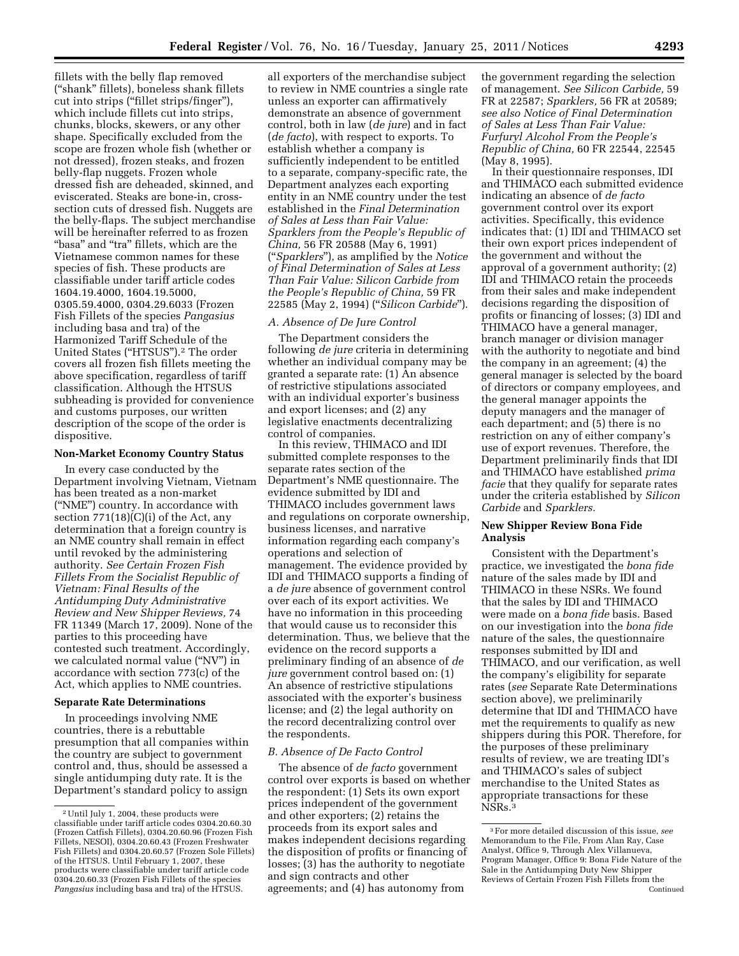fillets with the belly flap removed (''shank'' fillets), boneless shank fillets cut into strips (''fillet strips/finger''), which include fillets cut into strips, chunks, blocks, skewers, or any other shape. Specifically excluded from the scope are frozen whole fish (whether or not dressed), frozen steaks, and frozen belly-flap nuggets. Frozen whole dressed fish are deheaded, skinned, and eviscerated. Steaks are bone-in, crosssection cuts of dressed fish. Nuggets are the belly-flaps. The subject merchandise will be hereinafter referred to as frozen "basa" and "tra" fillets, which are the Vietnamese common names for these species of fish. These products are classifiable under tariff article codes 1604.19.4000, 1604.19.5000, 0305.59.4000, 0304.29.6033 (Frozen Fish Fillets of the species *Pangasius*  including basa and tra) of the Harmonized Tariff Schedule of the United States (''HTSUS'').2 The order covers all frozen fish fillets meeting the above specification, regardless of tariff classification. Although the HTSUS subheading is provided for convenience and customs purposes, our written description of the scope of the order is dispositive.

#### **Non-Market Economy Country Status**

In every case conducted by the Department involving Vietnam, Vietnam has been treated as a non-market (''NME'') country. In accordance with section  $771(18)(C)(i)$  of the Act, any determination that a foreign country is an NME country shall remain in effect until revoked by the administering authority. *See Certain Frozen Fish Fillets From the Socialist Republic of Vietnam: Final Results of the Antidumping Duty Administrative Review and New Shipper Reviews,* 74 FR 11349 (March 17, 2009). None of the parties to this proceeding have contested such treatment. Accordingly, we calculated normal value (''NV'') in accordance with section 773(c) of the Act, which applies to NME countries.

#### **Separate Rate Determinations**

In proceedings involving NME countries, there is a rebuttable presumption that all companies within the country are subject to government control and, thus, should be assessed a single antidumping duty rate. It is the Department's standard policy to assign

all exporters of the merchandise subject to review in NME countries a single rate unless an exporter can affirmatively demonstrate an absence of government control, both in law (*de jure*) and in fact (*de facto*), with respect to exports. To establish whether a company is sufficiently independent to be entitled to a separate, company-specific rate, the Department analyzes each exporting entity in an NME country under the test established in the *Final Determination of Sales at Less than Fair Value: Sparklers from the People's Republic of China,* 56 FR 20588 (May 6, 1991) (''*Sparklers*''), as amplified by the *Notice of Final Determination of Sales at Less Than Fair Value: Silicon Carbide from the People's Republic of China,* 59 FR 22585 (May 2, 1994) (''*Silicon Carbide*'').

### *A. Absence of De Jure Control*

The Department considers the following *de jure* criteria in determining whether an individual company may be granted a separate rate: (1) An absence of restrictive stipulations associated with an individual exporter's business and export licenses; and (2) any legislative enactments decentralizing control of companies.

In this review, THIMACO and IDI submitted complete responses to the separate rates section of the Department's NME questionnaire. The evidence submitted by IDI and THIMACO includes government laws and regulations on corporate ownership, business licenses, and narrative information regarding each company's operations and selection of management. The evidence provided by IDI and THIMACO supports a finding of a *de jure* absence of government control over each of its export activities. We have no information in this proceeding that would cause us to reconsider this determination. Thus, we believe that the evidence on the record supports a preliminary finding of an absence of *de jure* government control based on: (1) An absence of restrictive stipulations associated with the exporter's business license; and (2) the legal authority on the record decentralizing control over the respondents.

### *B. Absence of De Facto Control*

The absence of *de facto* government control over exports is based on whether the respondent: (1) Sets its own export prices independent of the government and other exporters; (2) retains the proceeds from its export sales and makes independent decisions regarding the disposition of profits or financing of losses; (3) has the authority to negotiate and sign contracts and other agreements; and (4) has autonomy from

the government regarding the selection of management. *See Silicon Carbide,* 59 FR at 22587; *Sparklers,* 56 FR at 20589; *see also Notice of Final Determination of Sales at Less Than Fair Value: Furfuryl Alcohol From the People's Republic of China,* 60 FR 22544, 22545 (May 8, 1995).

In their questionnaire responses, IDI and THIMACO each submitted evidence indicating an absence of *de facto*  government control over its export activities. Specifically, this evidence indicates that: (1) IDI and THIMACO set their own export prices independent of the government and without the approval of a government authority; (2) IDI and THIMACO retain the proceeds from their sales and make independent decisions regarding the disposition of profits or financing of losses; (3) IDI and THIMACO have a general manager, branch manager or division manager with the authority to negotiate and bind the company in an agreement; (4) the general manager is selected by the board of directors or company employees, and the general manager appoints the deputy managers and the manager of each department; and (5) there is no restriction on any of either company's use of export revenues. Therefore, the Department preliminarily finds that IDI and THIMACO have established *prima facie* that they qualify for separate rates under the criteria established by *Silicon Carbide* and *Sparklers.* 

## **New Shipper Review Bona Fide Analysis**

Consistent with the Department's practice, we investigated the *bona fide*  nature of the sales made by IDI and THIMACO in these NSRs. We found that the sales by IDI and THIMACO were made on a *bona fide* basis. Based on our investigation into the *bona fide*  nature of the sales, the questionnaire responses submitted by IDI and THIMACO, and our verification, as well the company's eligibility for separate rates (*see* Separate Rate Determinations section above), we preliminarily determine that IDI and THIMACO have met the requirements to qualify as new shippers during this POR. Therefore, for the purposes of these preliminary results of review, we are treating IDI's and THIMACO's sales of subject merchandise to the United States as appropriate transactions for these NSRs.3

<sup>2</sup>Until July 1, 2004, these products were classifiable under tariff article codes 0304.20.60.30 (Frozen Catfish Fillets), 0304.20.60.96 (Frozen Fish Fillets, NESOI), 0304.20.60.43 (Frozen Freshwater Fish Fillets) and 0304.20.60.57 (Frozen Sole Fillets) of the HTSUS. Until February 1, 2007, these products were classifiable under tariff article code 0304.20.60.33 (Frozen Fish Fillets of the species *Pangasius* including basa and tra) of the HTSUS.

<sup>3</sup>For more detailed discussion of this issue, *see*  Memorandum to the File, From Alan Ray, Case Analyst, Office 9, Through Alex Villanueva, Program Manager, Office 9: Bona Fide Nature of the Sale in the Antidumping Duty New Shipper Reviews of Certain Frozen Fish Fillets from the Continued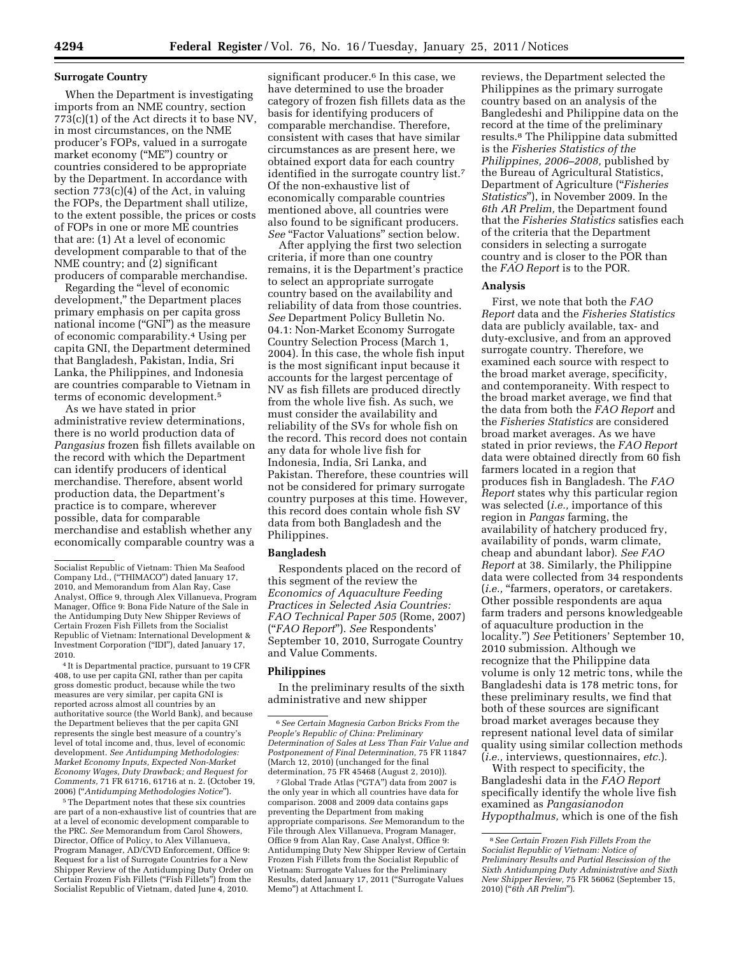#### **Surrogate Country**

When the Department is investigating imports from an NME country, section 773(c)(1) of the Act directs it to base NV, in most circumstances, on the NME producer's FOPs, valued in a surrogate market economy (''ME'') country or countries considered to be appropriate by the Department. In accordance with section 773(c)(4) of the Act, in valuing the FOPs, the Department shall utilize, to the extent possible, the prices or costs of FOPs in one or more ME countries that are: (1) At a level of economic development comparable to that of the NME country; and (2) significant producers of comparable merchandise.

Regarding the ''level of economic development,'' the Department places primary emphasis on per capita gross national income ("GNI") as the measure of economic comparability.4 Using per capita GNI, the Department determined that Bangladesh, Pakistan, India, Sri Lanka, the Philippines, and Indonesia are countries comparable to Vietnam in terms of economic development.5

As we have stated in prior administrative review determinations, there is no world production data of *Pangasius* frozen fish fillets available on the record with which the Department can identify producers of identical merchandise. Therefore, absent world production data, the Department's practice is to compare, wherever possible, data for comparable merchandise and establish whether any economically comparable country was a

4 It is Departmental practice, pursuant to 19 CFR 408, to use per capita GNI, rather than per capita gross domestic product, because while the two measures are very similar, per capita GNI is reported across almost all countries by an authoritative source (the World Bank), and because the Department believes that the per capita GNI represents the single best measure of a country's level of total income and, thus, level of economic development. *See Antidumping Methodologies: Market Economy Inputs, Expected Non-Market Economy Wages, Duty Drawback; and Request for Comments,* 71 FR 61716, 61716 at n. 2. (October 19, 2006) (''*Antidumping Methodologies Notice*'').

5The Department notes that these six countries are part of a non-exhaustive list of countries that are at a level of economic development comparable to the PRC. *See* Memorandum from Carol Showers, Director, Office of Policy, to Alex Villanueva, Program Manager, AD/CVD Enforcement, Office 9: Request for a list of Surrogate Countries for a New Shipper Review of the Antidumping Duty Order on Certain Frozen Fish Fillets (''Fish Fillets'') from the Socialist Republic of Vietnam, dated June 4, 2010.

significant producer.<sup>6</sup> In this case, we have determined to use the broader category of frozen fish fillets data as the basis for identifying producers of comparable merchandise. Therefore, consistent with cases that have similar circumstances as are present here, we obtained export data for each country identified in the surrogate country list.7 Of the non-exhaustive list of economically comparable countries mentioned above, all countries were also found to be significant producers. See "Factor Valuations" section below.

After applying the first two selection criteria, if more than one country remains, it is the Department's practice to select an appropriate surrogate country based on the availability and reliability of data from those countries. *See* Department Policy Bulletin No. 04.1: Non-Market Economy Surrogate Country Selection Process (March 1, 2004). In this case, the whole fish input is the most significant input because it accounts for the largest percentage of NV as fish fillets are produced directly from the whole live fish. As such, we must consider the availability and reliability of the SVs for whole fish on the record. This record does not contain any data for whole live fish for Indonesia, India, Sri Lanka, and Pakistan. Therefore, these countries will not be considered for primary surrogate country purposes at this time. However, this record does contain whole fish SV data from both Bangladesh and the Philippines.

#### **Bangladesh**

Respondents placed on the record of this segment of the review the *Economics of Aquaculture Feeding Practices in Selected Asia Countries: FAO Technical Paper 505* (Rome, 2007) (''*FAO Report*''). *See* Respondents' September 10, 2010, Surrogate Country and Value Comments.

#### **Philippines**

In the preliminary results of the sixth administrative and new shipper

7 Global Trade Atlas (''GTA'') data from 2007 is the only year in which all countries have data for comparison. 2008 and 2009 data contains gaps preventing the Department from making appropriate comparisons. *See* Memorandum to the File through Alex Villanueva, Program Manager, Office 9 from Alan Ray, Case Analyst, Office 9: Antidumping Duty New Shipper Review of Certain Frozen Fish Fillets from the Socialist Republic of Vietnam: Surrogate Values for the Preliminary Results, dated January 17, 2011 (''Surrogate Values Memo'') at Attachment I.

reviews, the Department selected the Philippines as the primary surrogate country based on an analysis of the Bangledeshi and Philippine data on the record at the time of the preliminary results.8 The Philippine data submitted is the *Fisheries Statistics of the Philippines, 2006–2008,* published by the Bureau of Agricultural Statistics, Department of Agriculture (''*Fisheries Statistics*''), in November 2009. In the *6th AR Prelim,* the Department found that the *Fisheries Statistics* satisfies each of the criteria that the Department considers in selecting a surrogate country and is closer to the POR than the *FAO Report* is to the POR.

#### **Analysis**

First, we note that both the *FAO Report* data and the *Fisheries Statistics*  data are publicly available, tax- and duty-exclusive, and from an approved surrogate country. Therefore, we examined each source with respect to the broad market average, specificity, and contemporaneity. With respect to the broad market average, we find that the data from both the *FAO Report* and the *Fisheries Statistics* are considered broad market averages. As we have stated in prior reviews, the *FAO Report*  data were obtained directly from 60 fish farmers located in a region that produces fish in Bangladesh. The *FAO Report* states why this particular region was selected (*i.e.,* importance of this region in *Pangas* farming, the availability of hatchery produced fry, availability of ponds, warm climate, cheap and abundant labor). *See FAO Report* at 38. Similarly, the Philippine data were collected from 34 respondents (*i.e.*, "farmers, operators, or caretakers. Other possible respondents are aqua farm traders and persons knowledgeable of aquaculture production in the locality.'') *See* Petitioners' September 10, 2010 submission. Although we recognize that the Philippine data volume is only 12 metric tons, while the Bangladeshi data is 178 metric tons, for these preliminary results, we find that both of these sources are significant broad market averages because they represent national level data of similar quality using similar collection methods (*i.e.,* interviews, questionnaires, *etc.*).

With respect to specificity, the Bangladeshi data in the *FAO Report*  specifically identify the whole live fish examined as *Pangasianodon Hypopthalmus,* which is one of the fish

Socialist Republic of Vietnam: Thien Ma Seafood Company Ltd., (''THIMACO'') dated January 17, 2010, and Memorandum from Alan Ray, Case Analyst, Office 9, through Alex Villanueva, Program Manager, Office 9: Bona Fide Nature of the Sale in the Antidumping Duty New Shipper Reviews of Certain Frozen Fish Fillets from the Socialist Republic of Vietnam: International Development & Investment Corporation (''IDI''), dated January 17, 2010.

<sup>6</sup>*See Certain Magnesia Carbon Bricks From the People's Republic of China: Preliminary Determination of Sales at Less Than Fair Value and Postponement of Final Determination,* 75 FR 11847 (March 12, 2010) (unchanged for the final determination, 75 FR 45468 (August 2, 2010)).

<sup>8</sup>*See Certain Frozen Fish Fillets From the Socialist Republic of Vietnam: Notice of Preliminary Results and Partial Rescission of the Sixth Antidumping Duty Administrative and Sixth New Shipper Review,* 75 FR 56062 (September 15, 2010) (''*6th AR Prelim*'').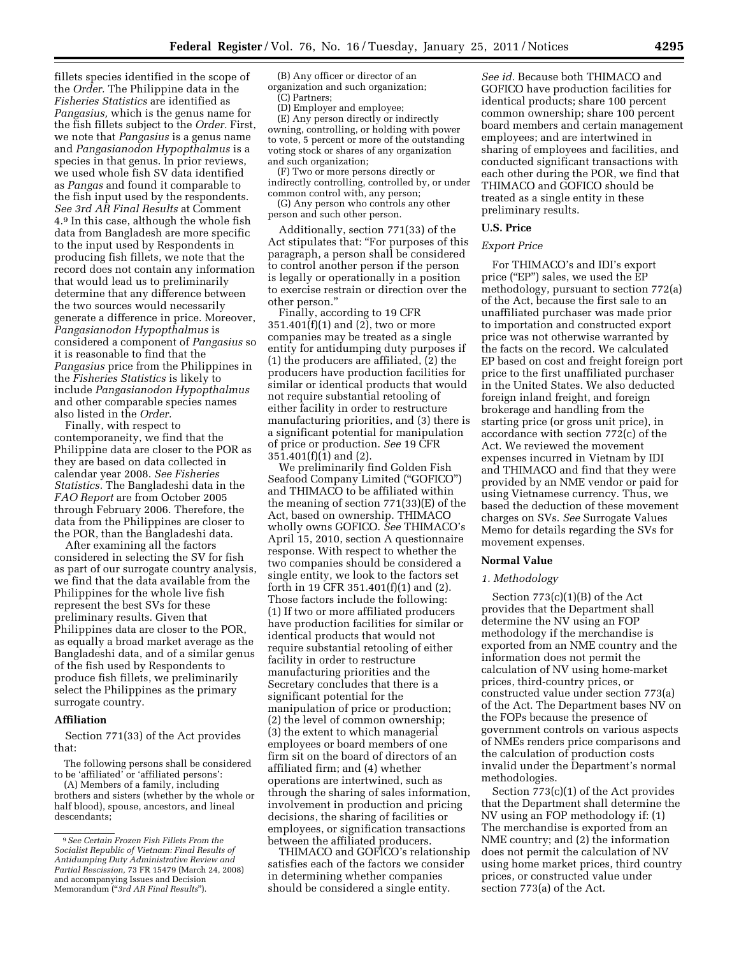fillets species identified in the scope of the *Order.* The Philippine data in the *Fisheries Statistics* are identified as *Pangasius,* which is the genus name for the fish fillets subject to the *Order.* First, we note that *Pangasius* is a genus name and *Pangasianodon Hypopthalmus* is a species in that genus. In prior reviews, we used whole fish SV data identified as *Pangas* and found it comparable to the fish input used by the respondents. *See 3rd AR Final Results* at Comment 4.9 In this case, although the whole fish data from Bangladesh are more specific to the input used by Respondents in producing fish fillets, we note that the record does not contain any information that would lead us to preliminarily determine that any difference between the two sources would necessarily generate a difference in price. Moreover, *Pangasianodon Hypopthalmus* is considered a component of *Pangasius* so it is reasonable to find that the *Pangasius* price from the Philippines in the *Fisheries Statistics* is likely to include *Pangasianodon Hypopthalmus*  and other comparable species names also listed in the *Order.* 

Finally, with respect to contemporaneity, we find that the Philippine data are closer to the POR as they are based on data collected in calendar year 2008. *See Fisheries Statistics.* The Bangladeshi data in the *FAO Report* are from October 2005 through February 2006. Therefore, the data from the Philippines are closer to the POR, than the Bangladeshi data.

After examining all the factors considered in selecting the SV for fish as part of our surrogate country analysis, we find that the data available from the Philippines for the whole live fish represent the best SVs for these preliminary results. Given that Philippines data are closer to the POR, as equally a broad market average as the Bangladeshi data, and of a similar genus of the fish used by Respondents to produce fish fillets, we preliminarily select the Philippines as the primary surrogate country.

#### **Affiliation**

Section 771(33) of the Act provides that:

The following persons shall be considered to be 'affiliated' or 'affiliated persons':

(A) Members of a family, including brothers and sisters (whether by the whole or half blood), spouse, ancestors, and lineal descendants;

(B) Any officer or director of an organization and such organization;

(C) Partners;

(D) Employer and employee;

(E) Any person directly or indirectly owning, controlling, or holding with power to vote, 5 percent or more of the outstanding voting stock or shares of any organization and such organization;

(F) Two or more persons directly or indirectly controlling, controlled by, or under common control with, any person;

(G) Any person who controls any other person and such other person.

Additionally, section 771(33) of the Act stipulates that: ''For purposes of this paragraph, a person shall be considered to control another person if the person is legally or operationally in a position to exercise restrain or direction over the other person.''

Finally, according to 19 CFR 351.401(f)(1) and (2), two or more companies may be treated as a single entity for antidumping duty purposes if (1) the producers are affiliated, (2) the producers have production facilities for similar or identical products that would not require substantial retooling of either facility in order to restructure manufacturing priorities, and (3) there is a significant potential for manipulation of price or production. *See* 19 CFR  $351.401(f)(1)$  and (2).

We preliminarily find Golden Fish Seafood Company Limited ("GOFICO") and THIMACO to be affiliated within the meaning of section 771(33)(E) of the Act, based on ownership. THIMACO wholly owns GOFICO. *See* THIMACO's April 15, 2010, section A questionnaire response. With respect to whether the two companies should be considered a single entity, we look to the factors set forth in 19 CFR 351.401(f)(1) and (2). Those factors include the following: (1) If two or more affiliated producers have production facilities for similar or identical products that would not require substantial retooling of either facility in order to restructure manufacturing priorities and the Secretary concludes that there is a significant potential for the manipulation of price or production; (2) the level of common ownership; (3) the extent to which managerial employees or board members of one firm sit on the board of directors of an affiliated firm; and (4) whether operations are intertwined, such as through the sharing of sales information, involvement in production and pricing decisions, the sharing of facilities or employees, or signification transactions between the affiliated producers.

THIMACO and GOFICO's relationship satisfies each of the factors we consider in determining whether companies should be considered a single entity.

*See id.* Because both THIMACO and GOFICO have production facilities for identical products; share 100 percent common ownership; share 100 percent board members and certain management employees; and are intertwined in sharing of employees and facilities, and conducted significant transactions with each other during the POR, we find that THIMACO and GOFICO should be treated as a single entity in these preliminary results.

#### **U.S. Price**

### *Export Price*

For THIMACO's and IDI's export price ("EP") sales, we used the EP methodology, pursuant to section 772(a) of the Act, because the first sale to an unaffiliated purchaser was made prior to importation and constructed export price was not otherwise warranted by the facts on the record. We calculated EP based on cost and freight foreign port price to the first unaffiliated purchaser in the United States. We also deducted foreign inland freight, and foreign brokerage and handling from the starting price (or gross unit price), in accordance with section 772(c) of the Act. We reviewed the movement expenses incurred in Vietnam by IDI and THIMACO and find that they were provided by an NME vendor or paid for using Vietnamese currency. Thus, we based the deduction of these movement charges on SVs. *See* Surrogate Values Memo for details regarding the SVs for movement expenses.

#### **Normal Value**

#### *1. Methodology*

Section 773(c)(1)(B) of the Act provides that the Department shall determine the NV using an FOP methodology if the merchandise is exported from an NME country and the information does not permit the calculation of NV using home-market prices, third-country prices, or constructed value under section 773(a) of the Act. The Department bases NV on the FOPs because the presence of government controls on various aspects of NMEs renders price comparisons and the calculation of production costs invalid under the Department's normal methodologies.

Section 773(c)(1) of the Act provides that the Department shall determine the NV using an FOP methodology if: (1) The merchandise is exported from an NME country; and (2) the information does not permit the calculation of NV using home market prices, third country prices, or constructed value under section 773(a) of the Act.

<sup>9</sup>*See Certain Frozen Fish Fillets From the Socialist Republic of Vietnam: Final Results of Antidumping Duty Administrative Review and Partial Rescission,* 73 FR 15479 (March 24, 2008) and accompanying Issues and Decision Memorandum (''*3rd AR Final Results*'').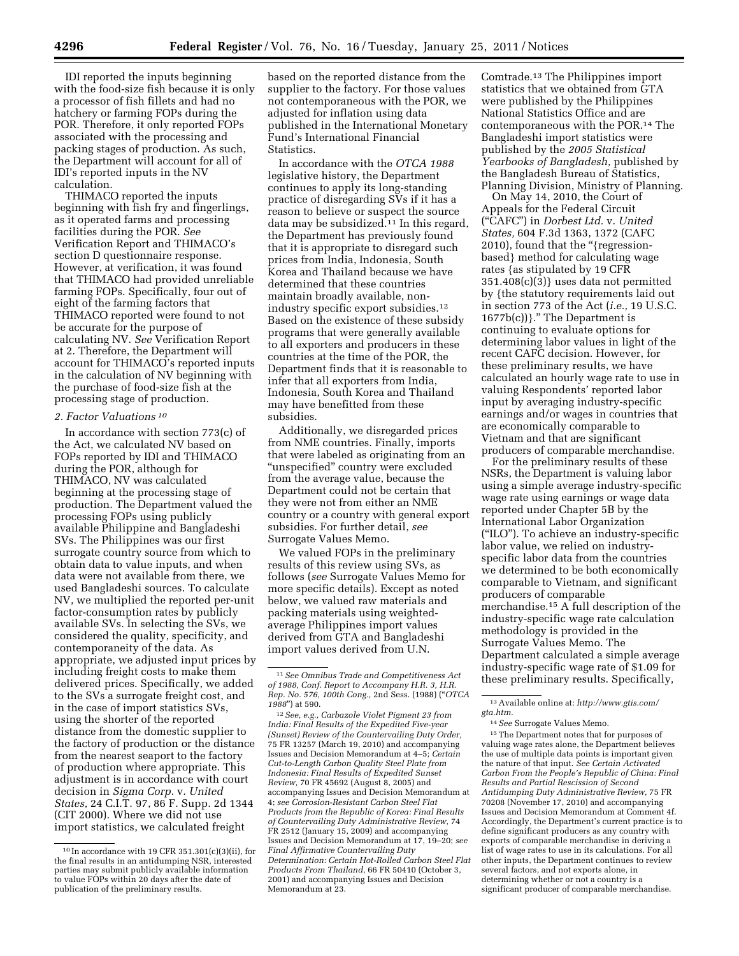IDI reported the inputs beginning with the food-size fish because it is only a processor of fish fillets and had no hatchery or farming FOPs during the POR. Therefore, it only reported FOPs associated with the processing and packing stages of production. As such, the Department will account for all of IDI's reported inputs in the NV calculation.

THIMACO reported the inputs beginning with fish fry and fingerlings, as it operated farms and processing facilities during the POR. *See*  Verification Report and THIMACO's section D questionnaire response. However, at verification, it was found that THIMACO had provided unreliable farming FOPs. Specifically, four out of eight of the farming factors that THIMACO reported were found to not be accurate for the purpose of calculating NV. *See* Verification Report at 2. Therefore, the Department will account for THIMACO's reported inputs in the calculation of NV beginning with the purchase of food-size fish at the processing stage of production.

## *2. Factor Valuations 10*

In accordance with section 773(c) of the Act, we calculated NV based on FOPs reported by IDI and THIMACO during the POR, although for THIMACO, NV was calculated beginning at the processing stage of production. The Department valued the processing FOPs using publicly available Philippine and Bangladeshi SVs. The Philippines was our first surrogate country source from which to obtain data to value inputs, and when data were not available from there, we used Bangladeshi sources. To calculate NV, we multiplied the reported per-unit factor-consumption rates by publicly available SVs. In selecting the SVs, we considered the quality, specificity, and contemporaneity of the data. As appropriate, we adjusted input prices by including freight costs to make them delivered prices. Specifically, we added to the SVs a surrogate freight cost, and in the case of import statistics SVs, using the shorter of the reported distance from the domestic supplier to the factory of production or the distance from the nearest seaport to the factory of production where appropriate. This adjustment is in accordance with court decision in *Sigma Corp.* v. *United States,* 24 C.I.T. 97, 86 F. Supp. 2d 1344 (CIT 2000). Where we did not use import statistics, we calculated freight

based on the reported distance from the supplier to the factory. For those values not contemporaneous with the POR, we adjusted for inflation using data published in the International Monetary Fund's International Financial **Statistics** 

In accordance with the *OTCA 1988*  legislative history, the Department continues to apply its long-standing practice of disregarding SVs if it has a reason to believe or suspect the source data may be subsidized.11 In this regard, the Department has previously found that it is appropriate to disregard such prices from India, Indonesia, South Korea and Thailand because we have determined that these countries maintain broadly available, nonindustry specific export subsidies.12 Based on the existence of these subsidy programs that were generally available to all exporters and producers in these countries at the time of the POR, the Department finds that it is reasonable to infer that all exporters from India, Indonesia, South Korea and Thailand may have benefitted from these subsidies.

Additionally, we disregarded prices from NME countries. Finally, imports that were labeled as originating from an ''unspecified'' country were excluded from the average value, because the Department could not be certain that they were not from either an NME country or a country with general export subsidies. For further detail, *see*  Surrogate Values Memo.

We valued FOPs in the preliminary results of this review using SVs, as follows (*see* Surrogate Values Memo for more specific details). Except as noted below, we valued raw materials and packing materials using weightedaverage Philippines import values derived from GTA and Bangladeshi import values derived from U.N.

12*See, e.g., Carbazole Violet Pigment 23 from India: Final Results of the Expedited Five-year (Sunset) Review of the Countervailing Duty Order,*  75 FR 13257 (March 19, 2010) and accompanying Issues and Decision Memorandum at 4–5; *Certain Cut-to-Length Carbon Quality Steel Plate from Indonesia: Final Results of Expedited Sunset Review,* 70 FR 45692 (August 8, 2005) and accompanying Issues and Decision Memorandum at 4; *see Corrosion-Resistant Carbon Steel Flat Products from the Republic of Korea: Final Results of Countervailing Duty Administrative Review,* 74 FR 2512 (January 15, 2009) and accompanying Issues and Decision Memorandum at 17, 19–20; *see Final Affirmative Countervailing Duty Determination: Certain Hot-Rolled Carbon Steel Flat Products From Thailand*, 66 FR 50410 (October 3, 2001) and accompanying Issues and Decision Memorandum at 23.

Comtrade.13 The Philippines import statistics that we obtained from GTA were published by the Philippines National Statistics Office and are contemporaneous with the POR.14 The Bangladeshi import statistics were published by the *2005 Statistical Yearbooks of Bangladesh,* published by the Bangladesh Bureau of Statistics, Planning Division, Ministry of Planning.

On May 14, 2010, the Court of Appeals for the Federal Circuit (''CAFC'') in *Dorbest Ltd.* v. *United States,* 604 F.3d 1363, 1372 (CAFC 2010), found that the ''{regressionbased} method for calculating wage rates {as stipulated by 19 CFR 351.408(c)(3)} uses data not permitted by {the statutory requirements laid out in section 773 of the Act (*i.e.,* 19 U.S.C. 1677b(c))}.'' The Department is continuing to evaluate options for determining labor values in light of the recent CAFC decision. However, for these preliminary results, we have calculated an hourly wage rate to use in valuing Respondents' reported labor input by averaging industry-specific earnings and/or wages in countries that are economically comparable to Vietnam and that are significant producers of comparable merchandise.

For the preliminary results of these NSRs, the Department is valuing labor using a simple average industry-specific wage rate using earnings or wage data reported under Chapter 5B by the International Labor Organization (''ILO''). To achieve an industry-specific labor value, we relied on industryspecific labor data from the countries we determined to be both economically comparable to Vietnam, and significant producers of comparable merchandise.15 A full description of the industry-specific wage rate calculation methodology is provided in the Surrogate Values Memo. The Department calculated a simple average industry-specific wage rate of \$1.09 for these preliminary results. Specifically,

 $^{\rm 15}\!$  The Department notes that for purposes of valuing wage rates alone, the Department believes the use of multiple data points is important given the nature of that input. *See Certain Activated Carbon From the People's Republic of China: Final Results and Partial Rescission of Second Antidumping Duty Administrative Review,* 75 FR 70208 (November 17, 2010) and accompanying Issues and Decision Memorandum at Comment 4f. Accordingly, the Department's current practice is to define significant producers as any country with exports of comparable merchandise in deriving a list of wage rates to use in its calculations. For all other inputs, the Department continues to review several factors, and not exports alone, in determining whether or not a country is a significant producer of comparable merchandise.

 $10$  In accordance with 19 CFR 351.301(c)(3)(ii), for the final results in an antidumping NSR, interested parties may submit publicly available information to value FOPs within 20 days after the date of publication of the preliminary results.

<sup>11</sup>*See Omnibus Trade and Competitiveness Act of 1988, Conf. Report to Accompany H.R. 3, H.R. Rep. No. 576, 100th Cong.,* 2nd Sess. (1988) (''*OTCA 1988*'') at 590.

<sup>13</sup>Available online at: *[http://www.gtis.com/](http://www.gtis.com/gta.htm) [gta.htm.](http://www.gtis.com/gta.htm)* 

<sup>14</sup>*See* Surrogate Values Memo.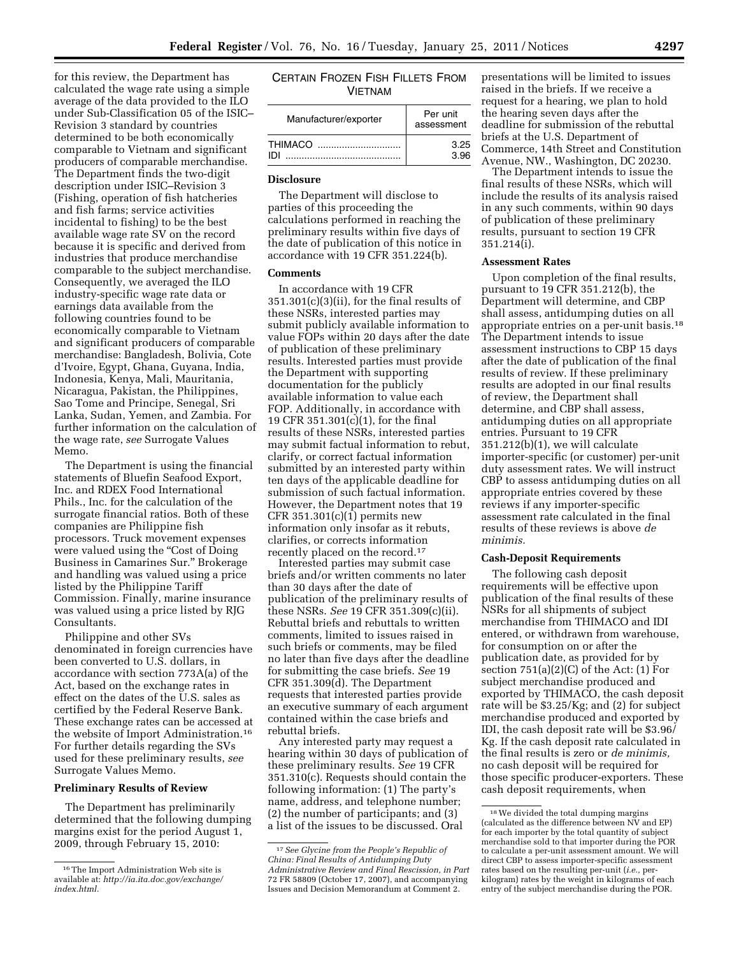for this review, the Department has calculated the wage rate using a simple average of the data provided to the ILO under Sub-Classification 05 of the ISIC– Revision 3 standard by countries determined to be both economically comparable to Vietnam and significant producers of comparable merchandise. The Department finds the two-digit description under ISIC–Revision 3 (Fishing, operation of fish hatcheries and fish farms; service activities incidental to fishing) to be the best available wage rate SV on the record because it is specific and derived from industries that produce merchandise comparable to the subject merchandise. Consequently, we averaged the ILO industry-specific wage rate data or earnings data available from the following countries found to be economically comparable to Vietnam and significant producers of comparable merchandise: Bangladesh, Bolivia, Cote d'Ivoire, Egypt, Ghana, Guyana, India, Indonesia, Kenya, Mali, Mauritania, Nicaragua, Pakistan, the Philippines, Sao Tome and Principe, Senegal, Sri Lanka, Sudan, Yemen, and Zambia. For further information on the calculation of the wage rate, *see* Surrogate Values Memo.

The Department is using the financial statements of Bluefin Seafood Export, Inc. and RDEX Food International Phils., Inc. for the calculation of the surrogate financial ratios. Both of these companies are Philippine fish processors. Truck movement expenses were valued using the "Cost of Doing" Business in Camarines Sur.'' Brokerage and handling was valued using a price listed by the Philippine Tariff Commission. Finally, marine insurance was valued using a price listed by RJG Consultants.

Philippine and other SVs denominated in foreign currencies have been converted to U.S. dollars, in accordance with section 773A(a) of the Act, based on the exchange rates in effect on the dates of the U.S. sales as certified by the Federal Reserve Bank. These exchange rates can be accessed at the website of Import Administration.16 For further details regarding the SVs used for these preliminary results, *see*  Surrogate Values Memo.

### **Preliminary Results of Review**

The Department has preliminarily determined that the following dumping margins exist for the period August 1, 2009, through February 15, 2010:

| CERTAIN FROZEN FISH FILLETS FROM |  |  |  |  |  |
|----------------------------------|--|--|--|--|--|
| <b>VIFTNAM</b>                   |  |  |  |  |  |

| Manufacturer/exporter | Per unit<br>assessment |  |
|-----------------------|------------------------|--|
| <b>THIMACO</b>        | 3.25                   |  |
| וחו                   | 3.96                   |  |

#### **Disclosure**

The Department will disclose to parties of this proceeding the calculations performed in reaching the preliminary results within five days of the date of publication of this notice in accordance with 19 CFR 351.224(b).

#### **Comments**

In accordance with 19 CFR 351.301(c)(3)(ii), for the final results of these NSRs, interested parties may submit publicly available information to value FOPs within 20 days after the date of publication of these preliminary results. Interested parties must provide the Department with supporting documentation for the publicly available information to value each FOP. Additionally, in accordance with 19 CFR 351.301(c)(1), for the final results of these NSRs, interested parties may submit factual information to rebut, clarify, or correct factual information submitted by an interested party within ten days of the applicable deadline for submission of such factual information. However, the Department notes that 19 CFR  $351.301(c)(1)$  permits new information only insofar as it rebuts, clarifies, or corrects information recently placed on the record.<sup>17</sup>

Interested parties may submit case briefs and/or written comments no later than 30 days after the date of publication of the preliminary results of these NSRs. *See* 19 CFR 351.309(c)(ii). Rebuttal briefs and rebuttals to written comments, limited to issues raised in such briefs or comments, may be filed no later than five days after the deadline for submitting the case briefs. *See* 19 CFR 351.309(d). The Department requests that interested parties provide an executive summary of each argument contained within the case briefs and rebuttal briefs.

Any interested party may request a hearing within 30 days of publication of these preliminary results. *See* 19 CFR 351.310(c). Requests should contain the following information: (1) The party's name, address, and telephone number; (2) the number of participants; and (3) a list of the issues to be discussed. Oral

presentations will be limited to issues raised in the briefs. If we receive a request for a hearing, we plan to hold the hearing seven days after the deadline for submission of the rebuttal briefs at the U.S. Department of Commerce, 14th Street and Constitution Avenue, NW., Washington, DC 20230.

The Department intends to issue the final results of these NSRs, which will include the results of its analysis raised in any such comments, within 90 days of publication of these preliminary results, pursuant to section 19 CFR 351.214(i).

#### **Assessment Rates**

Upon completion of the final results, pursuant to 19 CFR 351.212(b), the Department will determine, and CBP shall assess, antidumping duties on all appropriate entries on a per-unit basis.18 The Department intends to issue assessment instructions to CBP 15 days after the date of publication of the final results of review. If these preliminary results are adopted in our final results of review, the Department shall determine, and CBP shall assess, antidumping duties on all appropriate entries. Pursuant to 19 CFR 351.212(b)(1), we will calculate importer-specific (or customer) per-unit duty assessment rates. We will instruct CBP to assess antidumping duties on all appropriate entries covered by these reviews if any importer-specific assessment rate calculated in the final results of these reviews is above *de minimis.* 

## **Cash-Deposit Requirements**

The following cash deposit requirements will be effective upon publication of the final results of these NSRs for all shipments of subject merchandise from THIMACO and IDI entered, or withdrawn from warehouse, for consumption on or after the publication date, as provided for by section  $751(a)(2)(C)$  of the Act: (1) For subject merchandise produced and exported by THIMACO, the cash deposit rate will be \$3.25/Kg; and (2) for subject merchandise produced and exported by IDI, the cash deposit rate will be \$3.96/ Kg. If the cash deposit rate calculated in the final results is zero or *de minimis,*  no cash deposit will be required for those specific producer-exporters. These cash deposit requirements, when

<sup>16</sup>The Import Administration Web site is available at: *[http://ia.ita.doc.gov/exchange/](http://ia.ita.doc.gov/exchange/index.html)  [index.html.](http://ia.ita.doc.gov/exchange/index.html)* 

<sup>17</sup>*See Glycine from the People's Republic of China: Final Results of Antidumping Duty Administrative Review and Final Rescission, in Part*  72 FR 58809 (October 17, 2007), and accompanying Issues and Decision Memorandum at Comment 2.

 $^{18}\mathrm{We}$  divided the total dumping margins (calculated as the difference between NV and EP) for each importer by the total quantity of subject merchandise sold to that importer during the POR to calculate a per-unit assessment amount. We will direct CBP to assess importer-specific assessment rates based on the resulting per-unit (*i.e.,* perkilogram) rates by the weight in kilograms of each entry of the subject merchandise during the POR.